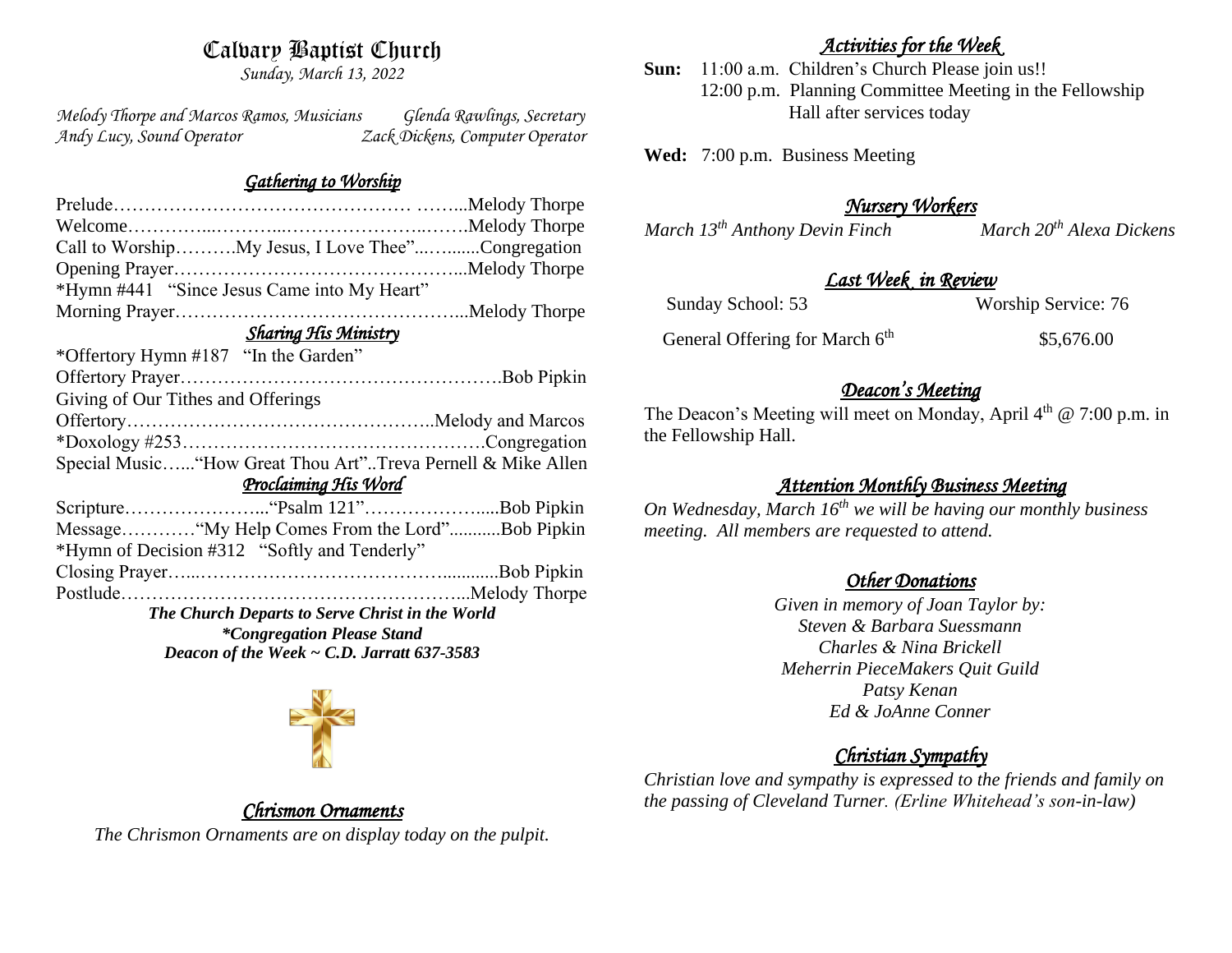# Calvary Baptist Church

*Sunday, March 13, 2022*

*Melody Thorpe and Marcos Ramos, Musicians Glenda Rawlings, Secretary Andy Lucy, Sound Operator Zack Dickens, Computer Operator* 

#### *Gathering to Worship*

| Call to WorshipMy Jesus, I Love Thee"Congregation            |  |
|--------------------------------------------------------------|--|
|                                                              |  |
| *Hymn #441 "Since Jesus Came into My Heart"                  |  |
|                                                              |  |
| <b>Sharing His Ministry</b>                                  |  |
| *Offertory Hymn #187 "In the Garden"                         |  |
|                                                              |  |
| Giving of Our Tithes and Offerings                           |  |
|                                                              |  |
|                                                              |  |
| Special Music "How Great Thou Art"Treva Pernell & Mike Allen |  |
| Proclaiming His Word                                         |  |
|                                                              |  |
| Message "My Help Comes From the Lord"Bob Pipkin              |  |
| *Hymn of Decision #312 "Softly and Tenderly"                 |  |
|                                                              |  |
|                                                              |  |
| The Church Departs to Serve Christ in the World              |  |
| <i>*Congregation Please Stand</i>                            |  |
| Deacon of the Week $\sim$ C.D. Jarratt 637-3583              |  |
|                                                              |  |

### *Activities for the Week*

**Sun:** 11:00 a.m. Children's Church Please join us!! 12:00 p.m. Planning Committee Meeting in the Fellowship Hall after services today

**Wed:** 7:00 p.m. Business Meeting

### *Nursery Workers*

*March 13<sup>th</sup> Anthony Devin Finch March 20<sup>th</sup> Alexa Dickens* 

#### *Last Week in Review*

Sunday School: 53 Worship Service: 76

General Offering for March  $6<sup>th</sup>$ \$5,676.00

#### *Deacon's Meeting*

The Deacon's Meeting will meet on Monday, April  $4<sup>th</sup>$  @ 7:00 p.m. in the Fellowship Hall.

### *Attention Monthly Business Meeting*

*On Wednesday, March 16th we will be having our monthly business meeting. All members are requested to attend.* 

### *Other Donations*

*Given in memory of Joan Taylor by: Steven & Barbara Suessmann Charles & Nina Brickell Meherrin PieceMakers Quit Guild Patsy Kenan Ed & JoAnne Conner*

## *Christian Sympathy*

*Christian love and sympathy is expressed to the friends and family on the passing of Cleveland Turner. (Erline Whitehead's son-in-law)*



# *Chrismon Ornaments*

*The Chrismon Ornaments are on display today on the pulpit.*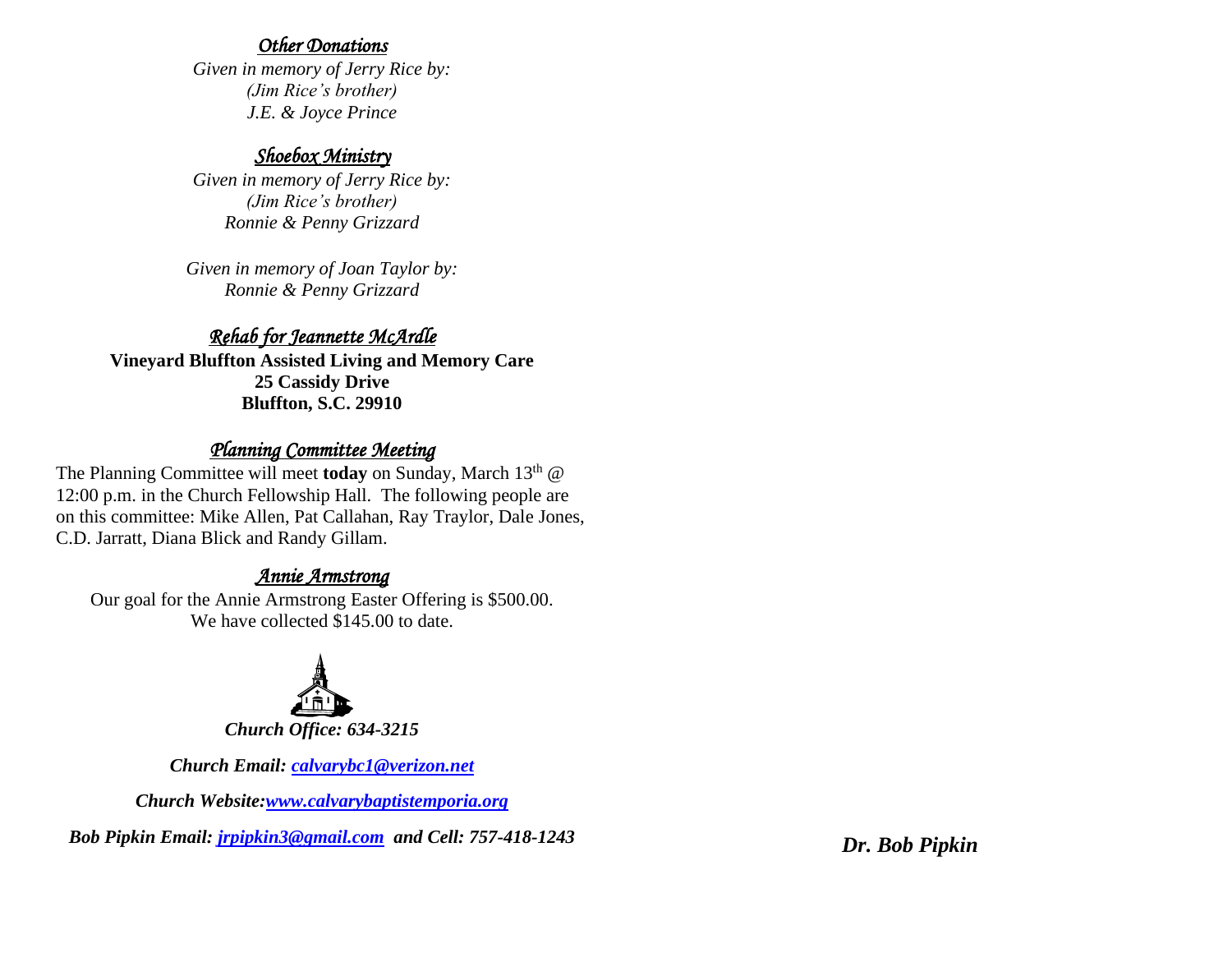#### *Other Donations*

*Given in memory of Jerry Rice by: (Jim Rice's brother) J.E. & Joyce Prince*

#### *Shoebox Ministry*

*Given in memory of Jerry Rice by: (Jim Rice's brother) Ronnie & Penny Grizzard*

*Given in memory of Joan Taylor by: Ronnie & Penny Grizzard*

# *Rehab for Jeannette McArdle*

**Vineyard Bluffton Assisted Living and Memory Care 25 Cassidy Drive Bluffton, S.C. 29910**

# *Planning Committee Meeting*

The Planning Committee will meet **today** on Sunday, March 13<sup>th</sup> @ 12:00 p.m. in the Church Fellowship Hall. The following people are on this committee: Mike Allen, Pat Callahan, Ray Traylor, Dale Jones, C.D. Jarratt, Diana Blick and Randy Gillam.

## *Annie Armstrong*

Our goal for the Annie Armstrong Easter Offering is \$500.00. We have collected \$145.00 to date.



*Church Email: [calvarybc1@verizon.net](mailto:cbcemporiaoffice@gmail.com)*

*Church Website[:www.calvarybaptistemporia.org](http://www.calvarybaptistemporia.org/)*

*Bob Pipkin Email: [jrpipkin3@gmail.com](mailto:jrpipkin3@gmail.com) and Cell: 757-418-1243 Dr. Bob Pipkin*